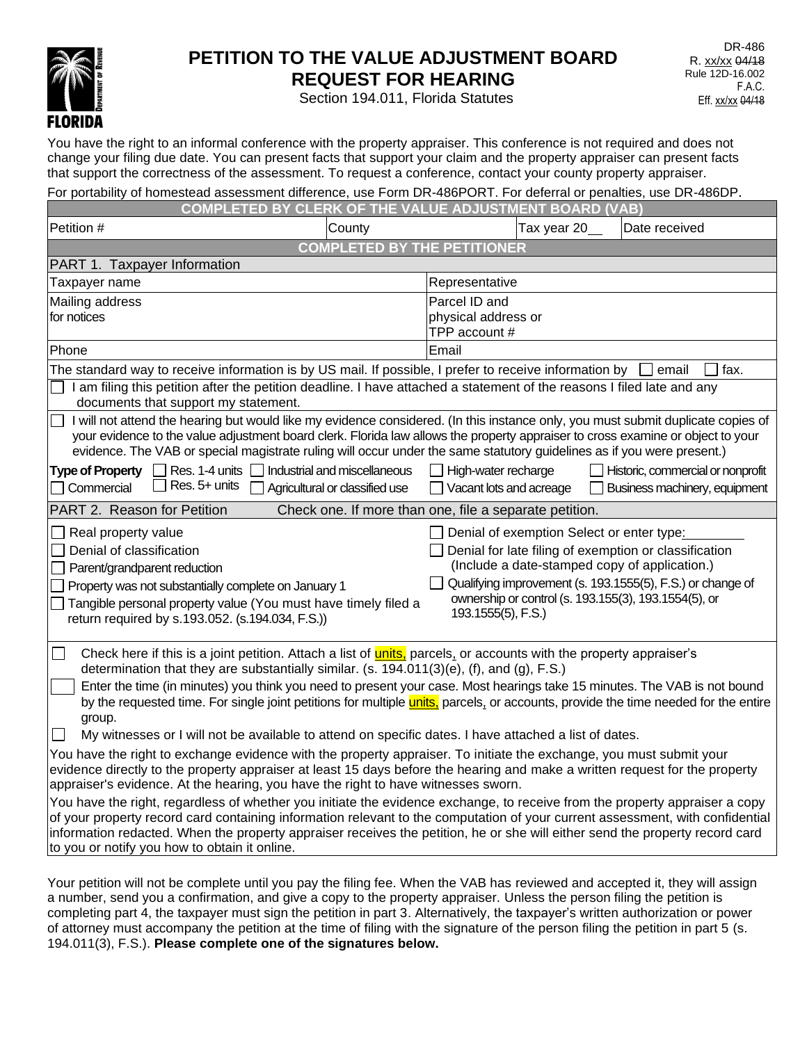

# **PETITION TO THE VALUE ADJUSTMENT BOARD REQUEST FOR HEARING**

DR-486 R. xx/xx 04/18 Rule 12D-16.002 F.A.C. Eff. xx/xx 04/18

Section 194.011, Florida Statutes

You have the right to an informal conference with the property appraiser. This conference is not required and does not change your filing due date. You can present facts that support your claim and the property appraiser can present facts that support the correctness of the assessment. To request a conference, contact your county property appraiser.

| For portability of homestead assessment difference, use Form DR-486PORT. For deferral or penalties, use DR-486DP.                                                                                                                                                                                                                                                                                                                                                                                                                                                                                                                                                                                                                                                                                                                                                                                                                                                                                                                                                                                                                                                                                                                                                                                                                                                         |                                                                | F AD.IIISTM                                                                                                                                                                            | ENT.         |  |                                                                                                       |      |  |
|---------------------------------------------------------------------------------------------------------------------------------------------------------------------------------------------------------------------------------------------------------------------------------------------------------------------------------------------------------------------------------------------------------------------------------------------------------------------------------------------------------------------------------------------------------------------------------------------------------------------------------------------------------------------------------------------------------------------------------------------------------------------------------------------------------------------------------------------------------------------------------------------------------------------------------------------------------------------------------------------------------------------------------------------------------------------------------------------------------------------------------------------------------------------------------------------------------------------------------------------------------------------------------------------------------------------------------------------------------------------------|----------------------------------------------------------------|----------------------------------------------------------------------------------------------------------------------------------------------------------------------------------------|--------------|--|-------------------------------------------------------------------------------------------------------|------|--|
|                                                                                                                                                                                                                                                                                                                                                                                                                                                                                                                                                                                                                                                                                                                                                                                                                                                                                                                                                                                                                                                                                                                                                                                                                                                                                                                                                                           | CLERK OF THE<br>COMPI FTFD<br><b>BY</b>                        |                                                                                                                                                                                        | <b>BOARD</b> |  | <b><i>NAB</i></b>                                                                                     |      |  |
| Petition #                                                                                                                                                                                                                                                                                                                                                                                                                                                                                                                                                                                                                                                                                                                                                                                                                                                                                                                                                                                                                                                                                                                                                                                                                                                                                                                                                                | County                                                         |                                                                                                                                                                                        | Tax year 20  |  | Date received                                                                                         |      |  |
| <b>COMPLETED BY THE PETITIONER</b>                                                                                                                                                                                                                                                                                                                                                                                                                                                                                                                                                                                                                                                                                                                                                                                                                                                                                                                                                                                                                                                                                                                                                                                                                                                                                                                                        |                                                                |                                                                                                                                                                                        |              |  |                                                                                                       |      |  |
| PART 1. Taxpayer Information                                                                                                                                                                                                                                                                                                                                                                                                                                                                                                                                                                                                                                                                                                                                                                                                                                                                                                                                                                                                                                                                                                                                                                                                                                                                                                                                              |                                                                |                                                                                                                                                                                        |              |  |                                                                                                       |      |  |
| Taxpayer name                                                                                                                                                                                                                                                                                                                                                                                                                                                                                                                                                                                                                                                                                                                                                                                                                                                                                                                                                                                                                                                                                                                                                                                                                                                                                                                                                             |                                                                | Representative                                                                                                                                                                         |              |  |                                                                                                       |      |  |
| Mailing address<br>for notices                                                                                                                                                                                                                                                                                                                                                                                                                                                                                                                                                                                                                                                                                                                                                                                                                                                                                                                                                                                                                                                                                                                                                                                                                                                                                                                                            |                                                                | Parcel ID and                                                                                                                                                                          |              |  |                                                                                                       |      |  |
|                                                                                                                                                                                                                                                                                                                                                                                                                                                                                                                                                                                                                                                                                                                                                                                                                                                                                                                                                                                                                                                                                                                                                                                                                                                                                                                                                                           |                                                                | physical address or<br>TPP account #                                                                                                                                                   |              |  |                                                                                                       |      |  |
| Phone                                                                                                                                                                                                                                                                                                                                                                                                                                                                                                                                                                                                                                                                                                                                                                                                                                                                                                                                                                                                                                                                                                                                                                                                                                                                                                                                                                     |                                                                | Email                                                                                                                                                                                  |              |  |                                                                                                       |      |  |
| The standard way to receive information is by US mail. If possible, I prefer to receive information by                                                                                                                                                                                                                                                                                                                                                                                                                                                                                                                                                                                                                                                                                                                                                                                                                                                                                                                                                                                                                                                                                                                                                                                                                                                                    |                                                                |                                                                                                                                                                                        |              |  | email                                                                                                 | fax. |  |
| I am filing this petition after the petition deadline. I have attached a statement of the reasons I filed late and any<br>documents that support my statement.                                                                                                                                                                                                                                                                                                                                                                                                                                                                                                                                                                                                                                                                                                                                                                                                                                                                                                                                                                                                                                                                                                                                                                                                            |                                                                |                                                                                                                                                                                        |              |  |                                                                                                       |      |  |
| I will not attend the hearing but would like my evidence considered. (In this instance only, you must submit duplicate copies of<br>your evidence to the value adjustment board clerk. Florida law allows the property appraiser to cross examine or object to your<br>evidence. The VAB or special magistrate ruling will occur under the same statutory guidelines as if you were present.)                                                                                                                                                                                                                                                                                                                                                                                                                                                                                                                                                                                                                                                                                                                                                                                                                                                                                                                                                                             |                                                                |                                                                                                                                                                                        |              |  |                                                                                                       |      |  |
| Res. 1-4 units [<br><b>Type of Property</b><br>$\blacksquare$<br>Res. 5+ units<br>Commercial                                                                                                                                                                                                                                                                                                                                                                                                                                                                                                                                                                                                                                                                                                                                                                                                                                                                                                                                                                                                                                                                                                                                                                                                                                                                              | Industrial and miscellaneous<br>Agricultural or classified use | High-water recharge<br>Vacant lots and acreage                                                                                                                                         |              |  | $\Box$ Historic, commercial or nonprofit<br>Business machinery, equipment                             |      |  |
| PART 2. Reason for Petition<br>Check one. If more than one, file a separate petition.                                                                                                                                                                                                                                                                                                                                                                                                                                                                                                                                                                                                                                                                                                                                                                                                                                                                                                                                                                                                                                                                                                                                                                                                                                                                                     |                                                                |                                                                                                                                                                                        |              |  |                                                                                                       |      |  |
| Real property value<br>Denial of classification<br>Parent/grandparent reduction<br>Property was not substantially complete on January 1<br>Tangible personal property value (You must have timely filed a<br>return required by s.193.052. (s.194.034, F.S.))                                                                                                                                                                                                                                                                                                                                                                                                                                                                                                                                                                                                                                                                                                                                                                                                                                                                                                                                                                                                                                                                                                             |                                                                | Denial of exemption Select or enter type:<br>Denial for late filing of exemption or classification<br>Qualifying improvement (s. 193.1555(5), F.S.) or change of<br>193.1555(5), F.S.) |              |  | (Include a date-stamped copy of application.)<br>ownership or control (s. 193.155(3), 193.1554(5), or |      |  |
| $\Box$<br>Check here if this is a joint petition. Attach a list of <b>units</b> , parcels, or accounts with the property appraiser's<br>determination that they are substantially similar. (s. 194.011(3)(e), (f), and (g), F.S.)<br>Enter the time (in minutes) you think you need to present your case. Most hearings take 15 minutes. The VAB is not bound<br>by the requested time. For single joint petitions for multiple <b>units</b> , parcels, or accounts, provide the time needed for the entire<br>group.<br>My witnesses or I will not be available to attend on specific dates. I have attached a list of dates.<br>You have the right to exchange evidence with the property appraiser. To initiate the exchange, you must submit your<br>evidence directly to the property appraiser at least 15 days before the hearing and make a written request for the property<br>appraiser's evidence. At the hearing, you have the right to have witnesses sworn.<br>You have the right, regardless of whether you initiate the evidence exchange, to receive from the property appraiser a copy<br>of your property record card containing information relevant to the computation of your current assessment, with confidential<br>information redacted. When the property appraiser receives the petition, he or she will either send the property record card |                                                                |                                                                                                                                                                                        |              |  |                                                                                                       |      |  |
| to you or notify you how to obtain it online.                                                                                                                                                                                                                                                                                                                                                                                                                                                                                                                                                                                                                                                                                                                                                                                                                                                                                                                                                                                                                                                                                                                                                                                                                                                                                                                             |                                                                |                                                                                                                                                                                        |              |  |                                                                                                       |      |  |

Your petition will not be complete until you pay the filing fee. When the VAB has reviewed and accepted it, they will assign a number, send you a confirmation, and give a copy to the property appraiser. Unless the person filing the petition is completing part 4, the taxpayer must sign the petition in part 3. Alternatively, the taxpayer's written authorization or power of attorney must accompany the petition at the time of filing with the signature of the person filing the petition in part 5 (s. 194.011(3), F.S.). **Please complete one of the signatures below.**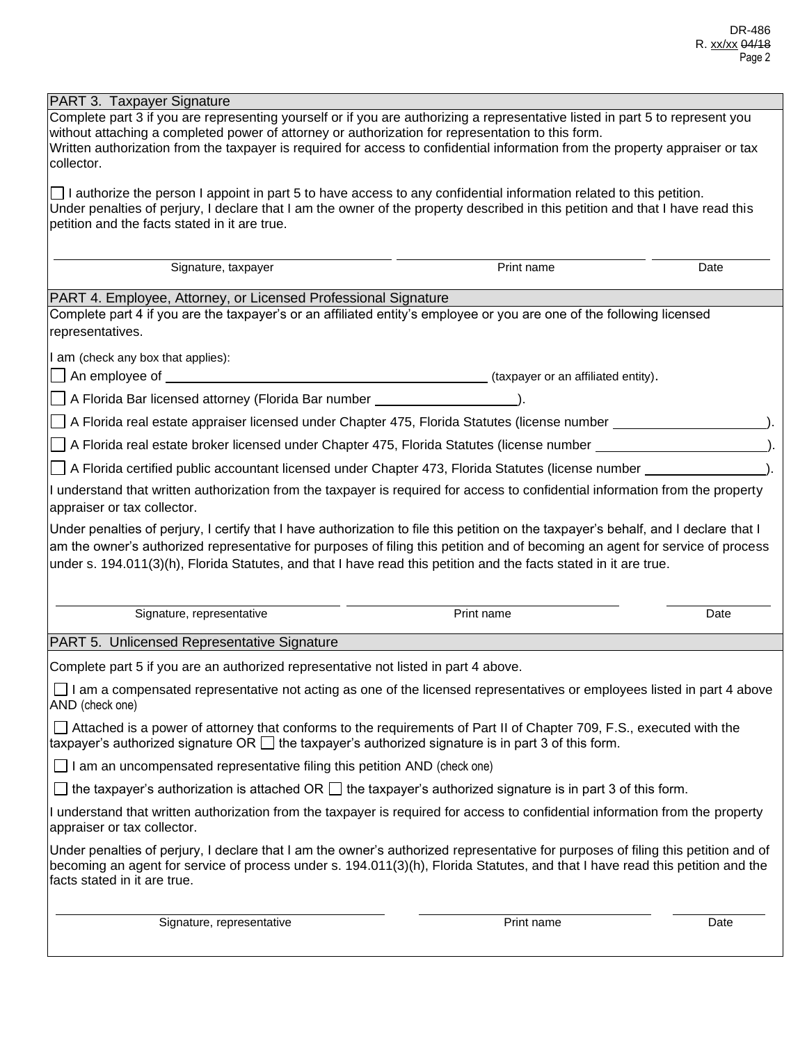| PART 3. Taxpayer Signature                                                                                                                                                                                                                                                                                                                                                                 |            |      |  |  |  |  |
|--------------------------------------------------------------------------------------------------------------------------------------------------------------------------------------------------------------------------------------------------------------------------------------------------------------------------------------------------------------------------------------------|------------|------|--|--|--|--|
| Complete part 3 if you are representing yourself or if you are authorizing a representative listed in part 5 to represent you<br>without attaching a completed power of attorney or authorization for representation to this form.<br>Written authorization from the taxpayer is required for access to confidential information from the property appraiser or tax<br>collector.          |            |      |  |  |  |  |
| $\Box$ I authorize the person I appoint in part 5 to have access to any confidential information related to this petition.<br>Under penalties of perjury, I declare that I am the owner of the property described in this petition and that I have read this<br>petition and the facts stated in it are true.                                                                              |            |      |  |  |  |  |
| Signature, taxpayer                                                                                                                                                                                                                                                                                                                                                                        | Print name | Date |  |  |  |  |
| PART 4. Employee, Attorney, or Licensed Professional Signature                                                                                                                                                                                                                                                                                                                             |            |      |  |  |  |  |
| Complete part 4 if you are the taxpayer's or an affiliated entity's employee or you are one of the following licensed<br>representatives.                                                                                                                                                                                                                                                  |            |      |  |  |  |  |
| I am (check any box that applies):                                                                                                                                                                                                                                                                                                                                                         |            |      |  |  |  |  |
|                                                                                                                                                                                                                                                                                                                                                                                            |            |      |  |  |  |  |
| A Florida Bar licensed attorney (Florida Bar number _______________________).                                                                                                                                                                                                                                                                                                              |            |      |  |  |  |  |
| A Florida real estate appraiser licensed under Chapter 475, Florida Statutes (license number _________________                                                                                                                                                                                                                                                                             |            |      |  |  |  |  |
| A Florida real estate broker licensed under Chapter 475, Florida Statutes (license number ____________________                                                                                                                                                                                                                                                                             |            |      |  |  |  |  |
| │ A Florida certified public accountant licensed under Chapter 473, Florida Statutes (license number __                                                                                                                                                                                                                                                                                    |            |      |  |  |  |  |
| I understand that written authorization from the taxpayer is required for access to confidential information from the property<br>appraiser or tax collector.                                                                                                                                                                                                                              |            |      |  |  |  |  |
| Under penalties of perjury, I certify that I have authorization to file this petition on the taxpayer's behalf, and I declare that I<br>am the owner's authorized representative for purposes of filing this petition and of becoming an agent for service of process<br>under s. 194.011(3)(h), Florida Statutes, and that I have read this petition and the facts stated in it are true. |            |      |  |  |  |  |
| Signature, representative                                                                                                                                                                                                                                                                                                                                                                  | Print name | Date |  |  |  |  |
| PART 5. Unlicensed Representative Signature                                                                                                                                                                                                                                                                                                                                                |            |      |  |  |  |  |
| Complete part 5 if you are an authorized representative not listed in part 4 above.                                                                                                                                                                                                                                                                                                        |            |      |  |  |  |  |
| $\Box$ I am a compensated representative not acting as one of the licensed representatives or employees listed in part 4 above<br>AND (check one)                                                                                                                                                                                                                                          |            |      |  |  |  |  |
| □ Attached is a power of attorney that conforms to the requirements of Part II of Chapter 709, F.S., executed with the<br>taxpayer's authorized signature OR $\Box$ the taxpayer's authorized signature is in part 3 of this form.                                                                                                                                                         |            |      |  |  |  |  |
| $\Box$ I am an uncompensated representative filing this petition AND (check one)                                                                                                                                                                                                                                                                                                           |            |      |  |  |  |  |
| $\Box$ the taxpayer's authorization is attached OR $\Box$ the taxpayer's authorized signature is in part 3 of this form.                                                                                                                                                                                                                                                                   |            |      |  |  |  |  |
| I understand that written authorization from the taxpayer is required for access to confidential information from the property<br>appraiser or tax collector.                                                                                                                                                                                                                              |            |      |  |  |  |  |
| Under penalties of perjury, I declare that I am the owner's authorized representative for purposes of filing this petition and of<br>becoming an agent for service of process under s. 194.011(3)(h), Florida Statutes, and that I have read this petition and the<br>facts stated in it are true.                                                                                         |            |      |  |  |  |  |
| Signature, representative                                                                                                                                                                                                                                                                                                                                                                  | Print name | Date |  |  |  |  |